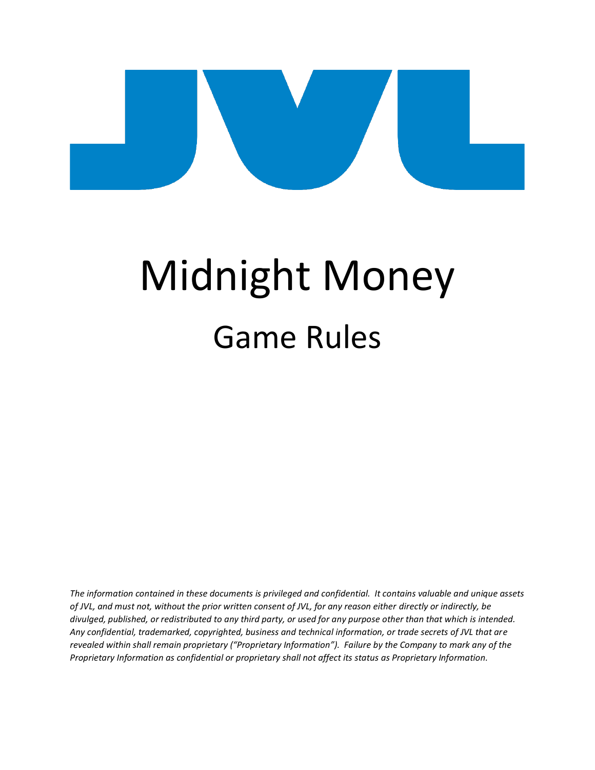# Midnight Money Game Rules

*The information contained in these documents is privileged and confidential. It contains valuable and unique assets of JVL, and must not, without the prior written consent of JVL, for any reason either directly or indirectly, be divulged, published, or redistributed to any third party, or used for any purpose other than that which is intended. Any confidential, trademarked, copyrighted, business and technical information, or trade secrets of JVL that are revealed within shall remain proprietary ("Proprietary Information"). Failure by the Company to mark any of the Proprietary Information as confidential or proprietary shall not affect its status as Proprietary Information.*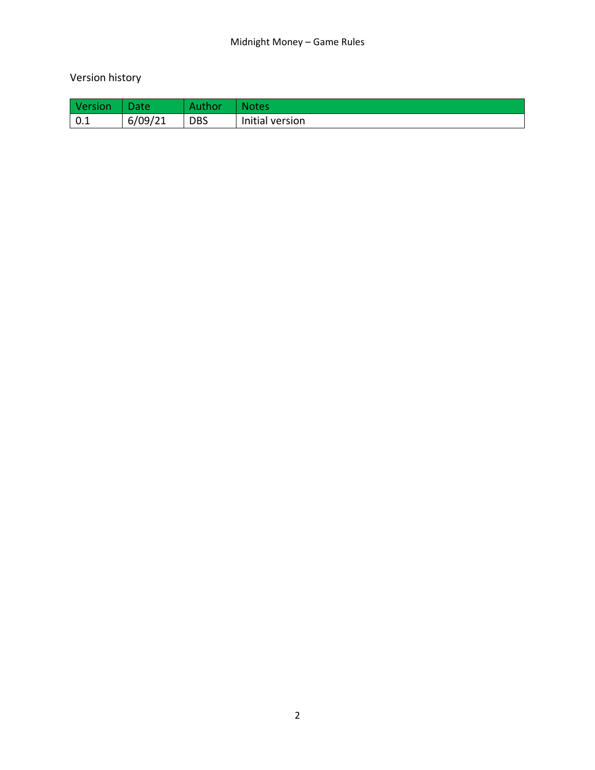## Version history

| Version           | ate     |            |                 |
|-------------------|---------|------------|-----------------|
| $\vert 0.1 \vert$ | 6/09/21 | <b>DBS</b> | Initial version |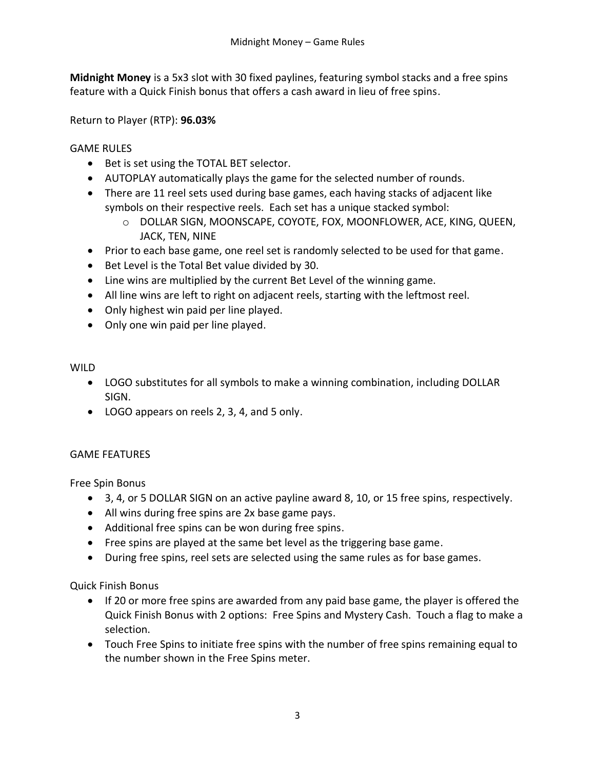**Midnight Money** is a 5x3 slot with 30 fixed paylines, featuring symbol stacks and a free spins feature with a Quick Finish bonus that offers a cash award in lieu of free spins.

Return to Player (RTP): **96.03%**

#### GAME RULES

- Bet is set using the TOTAL BET selector.
- AUTOPLAY automatically plays the game for the selected number of rounds.
- There are 11 reel sets used during base games, each having stacks of adjacent like symbols on their respective reels. Each set has a unique stacked symbol:
	- o DOLLAR SIGN, MOONSCAPE, COYOTE, FOX, MOONFLOWER, ACE, KING, QUEEN, JACK, TEN, NINE
- Prior to each base game, one reel set is randomly selected to be used for that game.
- Bet Level is the Total Bet value divided by 30.
- Line wins are multiplied by the current Bet Level of the winning game.
- All line wins are left to right on adjacent reels, starting with the leftmost reel.
- Only highest win paid per line played.
- Only one win paid per line played.

#### WII D

- LOGO substitutes for all symbols to make a winning combination, including DOLLAR SIGN.
- LOGO appears on reels 2, 3, 4, and 5 only.

### GAME FEATURES

Free Spin Bonus

- 3, 4, or 5 DOLLAR SIGN on an active payline award 8, 10, or 15 free spins, respectively.
- All wins during free spins are 2x base game pays.
- Additional free spins can be won during free spins.
- Free spins are played at the same bet level as the triggering base game.
- During free spins, reel sets are selected using the same rules as for base games.

Quick Finish Bonus

- If 20 or more free spins are awarded from any paid base game, the player is offered the Quick Finish Bonus with 2 options: Free Spins and Mystery Cash. Touch a flag to make a selection.
- Touch Free Spins to initiate free spins with the number of free spins remaining equal to the number shown in the Free Spins meter.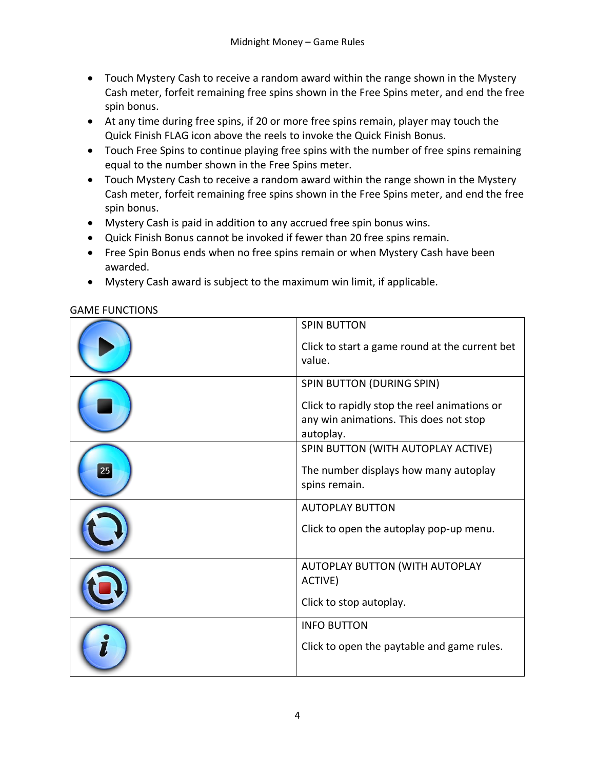- Touch Mystery Cash to receive a random award within the range shown in the Mystery Cash meter, forfeit remaining free spins shown in the Free Spins meter, and end the free spin bonus.
- At any time during free spins, if 20 or more free spins remain, player may touch the Quick Finish FLAG icon above the reels to invoke the Quick Finish Bonus.
- Touch Free Spins to continue playing free spins with the number of free spins remaining equal to the number shown in the Free Spins meter.
- Touch Mystery Cash to receive a random award within the range shown in the Mystery Cash meter, forfeit remaining free spins shown in the Free Spins meter, and end the free spin bonus.
- Mystery Cash is paid in addition to any accrued free spin bonus wins.
- Quick Finish Bonus cannot be invoked if fewer than 20 free spins remain.
- Free Spin Bonus ends when no free spins remain or when Mystery Cash have been awarded.
- Mystery Cash award is subject to the maximum win limit, if applicable.

|    | <b>SPIN BUTTON</b>                                                                                  |
|----|-----------------------------------------------------------------------------------------------------|
|    | Click to start a game round at the current bet<br>value.                                            |
|    | SPIN BUTTON (DURING SPIN)                                                                           |
|    | Click to rapidly stop the reel animations or<br>any win animations. This does not stop<br>autoplay. |
|    | SPIN BUTTON (WITH AUTOPLAY ACTIVE)                                                                  |
| 25 | The number displays how many autoplay                                                               |
|    | spins remain.                                                                                       |
|    | <b>AUTOPLAY BUTTON</b>                                                                              |
|    | Click to open the autoplay pop-up menu.                                                             |
|    | AUTOPLAY BUTTON (WITH AUTOPLAY                                                                      |
|    | ACTIVE)                                                                                             |
|    | Click to stop autoplay.                                                                             |
|    | <b>INFO BUTTON</b>                                                                                  |
|    | Click to open the paytable and game rules.                                                          |

#### GAME FUNCTIONS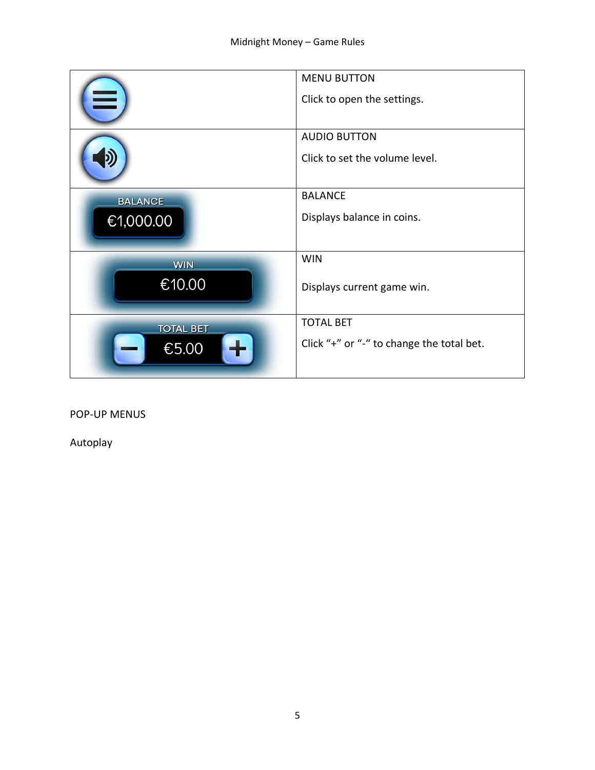|                  | <b>MENU BUTTON</b><br>Click to open the settings.     |
|------------------|-------------------------------------------------------|
|                  | <b>AUDIO BUTTON</b><br>Click to set the volume level. |
| <b>BALANCE</b>   | <b>BALANCE</b>                                        |
| €1,000.00        | Displays balance in coins.                            |
| <b>WIN</b>       | <b>WIN</b>                                            |
| €10.00           | Displays current game win.                            |
| <b>TOTAL BET</b> | <b>TOTAL BET</b>                                      |
| €5.00            | Click "+" or "-" to change the total bet.             |

POP-UP MENUS

Autoplay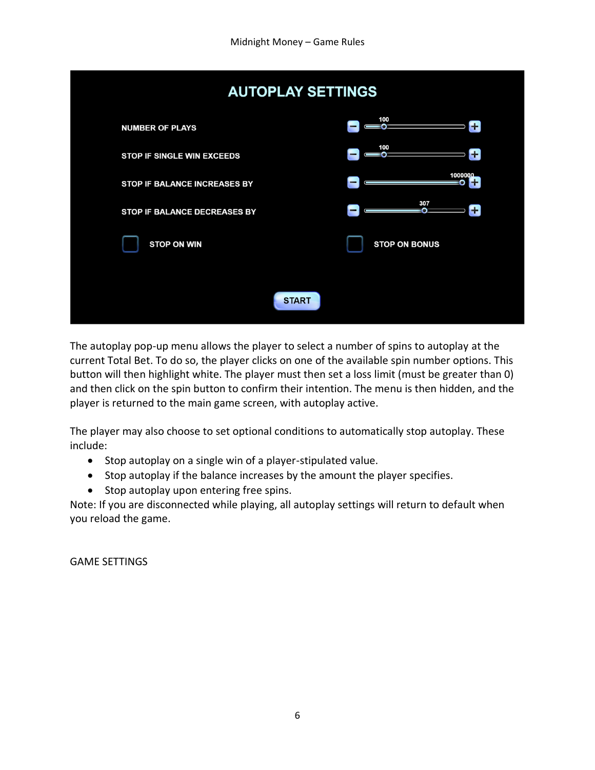| <b>AUTOPLAY SETTINGS</b>            |                            |  |  |  |  |
|-------------------------------------|----------------------------|--|--|--|--|
| <b>NUMBER OF PLAYS</b>              | 100<br>ΞΩ                  |  |  |  |  |
| <b>STOP IF SINGLE WIN EXCEEDS</b>   | 100<br>n<br>-<br>-0        |  |  |  |  |
| <b>STOP IF BALANCE INCREASES BY</b> | 1000000<br>-               |  |  |  |  |
| <b>STOP IF BALANCE DECREASES BY</b> | 307<br>٠.<br>$\Omega$<br>- |  |  |  |  |
| <b>STOP ON WIN</b>                  | <b>STOP ON BONUS</b>       |  |  |  |  |
|                                     |                            |  |  |  |  |
| <b>START</b>                        |                            |  |  |  |  |

The autoplay pop-up menu allows the player to select a number of spins to autoplay at the current Total Bet. To do so, the player clicks on one of the available spin number options. This button will then highlight white. The player must then set a loss limit (must be greater than 0) and then click on the spin button to confirm their intention. The menu is then hidden, and the player is returned to the main game screen, with autoplay active.

The player may also choose to set optional conditions to automatically stop autoplay. These include:

- Stop autoplay on a single win of a player-stipulated value.
- Stop autoplay if the balance increases by the amount the player specifies.
- Stop autoplay upon entering free spins.

Note: If you are disconnected while playing, all autoplay settings will return to default when you reload the game.

GAME SETTINGS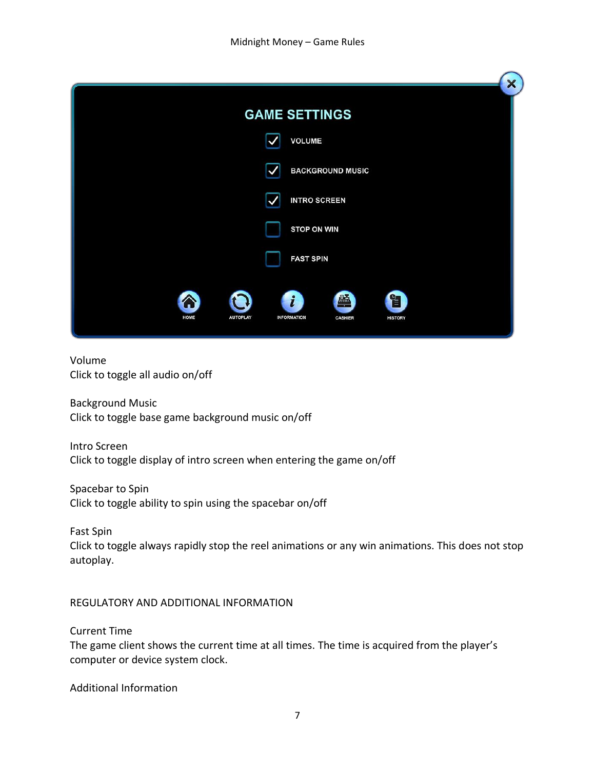| X                                                                                                                |
|------------------------------------------------------------------------------------------------------------------|
| <b>GAME SETTINGS</b>                                                                                             |
| <b>VOLUME</b>                                                                                                    |
| <b>BACKGROUND MUSIC</b>                                                                                          |
| <b>INTRO SCREEN</b>                                                                                              |
| <b>STOP ON WIN</b>                                                                                               |
| <b>FAST SPIN</b>                                                                                                 |
| 孟<br>$\mathbf{i}$<br>窅<br>个<br>HOME<br><b>AUTOPLAY</b><br><b>INFORMATION</b><br><b>CASHIER</b><br><b>HISTORY</b> |

#### Volume Click to toggle all audio on/off

Background Music Click to toggle base game background music on/off

Intro Screen Click to toggle display of intro screen when entering the game on/off

Spacebar to Spin Click to toggle ability to spin using the spacebar on/off

Fast Spin Click to toggle always rapidly stop the reel animations or any win animations. This does not stop autoplay.

REGULATORY AND ADDITIONAL INFORMATION

Current Time

The game client shows the current time at all times. The time is acquired from the player's computer or device system clock.

Additional Information